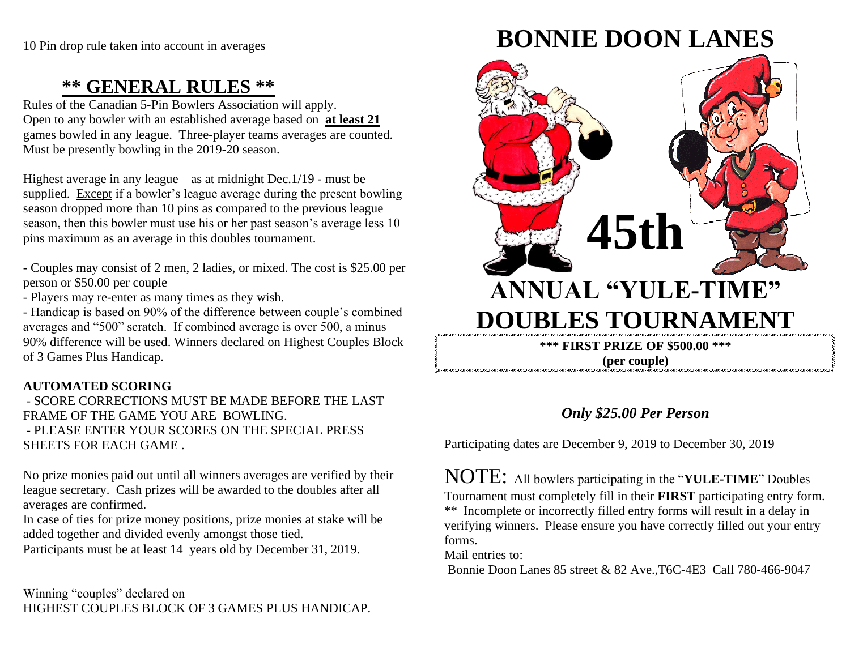# **\*\* GENERAL RULES \*\***

Rules of the Canadian 5-Pin Bowlers Association will apply. Open to any bowler with an established average based on **at least 21** games bowled in any league. Three-player teams averages are counted. Must be presently bowling in the 2019-20 season.

Highest average in any league – as at midnight Dec.1/19 - must be supplied. Except if a bowler's league average during the present bowling season dropped more than 10 pins as compared to the previous league season, then this bowler must use his or her past season's average less 10 pins maximum as an average in this doubles tournament.

- Couples may consist of 2 men, 2 ladies, or mixed. The cost is \$25.00 per person or \$50.00 per couple

- Players may re-enter as many times as they wish.

- Handicap is based on 90% of the difference between couple's combined averages and "500" scratch. If combined average is over 500, a minus 90% difference will be used. Winners declared on Highest Couples Block of 3 Games Plus Handicap.

#### **AUTOMATED SCORING**

- SCORE CORRECTIONS MUST BE MADE BEFORE THE LAST FRAME OF THE GAME YOU ARE BOWLING. - PLEASE ENTER YOUR SCORES ON THE SPECIAL PRESS SHEETS FOR EACH GAME .

No prize monies paid out until all winners averages are verified by their league secretary. Cash prizes will be awarded to the doubles after all averages are confirmed.

In case of ties for prize money positions, prize monies at stake will be added together and divided evenly amongst those tied.

Participants must be at least 14 years old by December 31, 2019.

Winning "couples" declared on HIGHEST COUPLES BLOCK OF 3 GAMES PLUS HANDICAP.

# **BONNIE DOON LANES**



## *Only \$25.00 Per Person*

Participating dates are December 9, 2019 to December 30, 2019

NOTE: All bowlers participating in the "**YULE-TIME**" Doubles Tournament must completely fill in their **FIRST** participating entry form. \*\* Incomplete or incorrectly filled entry forms will result in a delay in verifying winners. Please ensure you have correctly filled out your entry forms.

Mail entries to:

Bonnie Doon Lanes 85 street & 82 Ave.,T6C-4E3 Call 780-466-9047